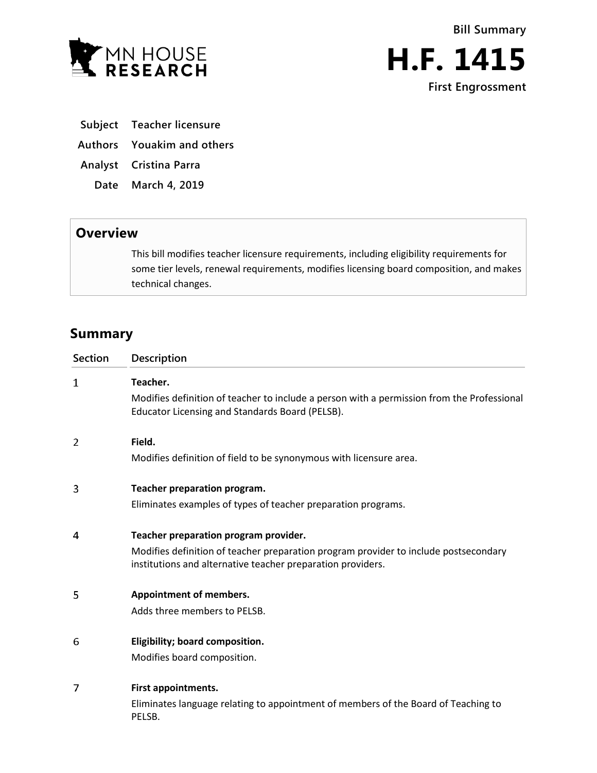



**Subject Teacher licensure**

**Authors Youakim and others**

**Analyst Cristina Parra**

**Date March 4, 2019**

## **Overview**

This bill modifies teacher licensure requirements, including eligibility requirements for some tier levels, renewal requirements, modifies licensing board composition, and makes technical changes.

## **Summary**

| <b>Section</b> | Description                                                                                                                                         |
|----------------|-----------------------------------------------------------------------------------------------------------------------------------------------------|
| 1              | Teacher.                                                                                                                                            |
|                | Modifies definition of teacher to include a person with a permission from the Professional<br>Educator Licensing and Standards Board (PELSB).       |
| 2              | Field.                                                                                                                                              |
|                | Modifies definition of field to be synonymous with licensure area.                                                                                  |
| 3              | Teacher preparation program.                                                                                                                        |
|                | Eliminates examples of types of teacher preparation programs.                                                                                       |
| 4              | Teacher preparation program provider.                                                                                                               |
|                | Modifies definition of teacher preparation program provider to include postsecondary<br>institutions and alternative teacher preparation providers. |
| 5              | <b>Appointment of members.</b>                                                                                                                      |
|                | Adds three members to PELSB.                                                                                                                        |
| 6              | Eligibility; board composition.                                                                                                                     |
|                | Modifies board composition.                                                                                                                         |
| 7              | First appointments.                                                                                                                                 |
|                | Eliminates language relating to appointment of members of the Board of Teaching to<br>PELSB.                                                        |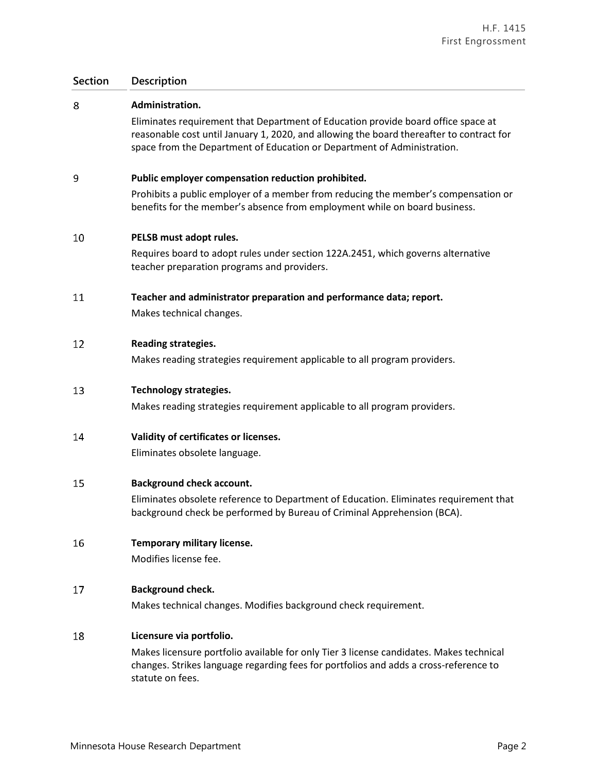## **Section Description**

| 8  | Administration.                                                                                                                                                                                                                                          |
|----|----------------------------------------------------------------------------------------------------------------------------------------------------------------------------------------------------------------------------------------------------------|
|    | Eliminates requirement that Department of Education provide board office space at<br>reasonable cost until January 1, 2020, and allowing the board thereafter to contract for<br>space from the Department of Education or Department of Administration. |
| 9  | Public employer compensation reduction prohibited.                                                                                                                                                                                                       |
|    | Prohibits a public employer of a member from reducing the member's compensation or<br>benefits for the member's absence from employment while on board business.                                                                                         |
| 10 | PELSB must adopt rules.                                                                                                                                                                                                                                  |
|    | Requires board to adopt rules under section 122A.2451, which governs alternative<br>teacher preparation programs and providers.                                                                                                                          |
| 11 | Teacher and administrator preparation and performance data; report.<br>Makes technical changes.                                                                                                                                                          |
| 12 | <b>Reading strategies.</b>                                                                                                                                                                                                                               |
|    | Makes reading strategies requirement applicable to all program providers.                                                                                                                                                                                |
| 13 | <b>Technology strategies.</b>                                                                                                                                                                                                                            |
|    | Makes reading strategies requirement applicable to all program providers.                                                                                                                                                                                |
| 14 | Validity of certificates or licenses.                                                                                                                                                                                                                    |
|    | Eliminates obsolete language.                                                                                                                                                                                                                            |
| 15 | <b>Background check account.</b>                                                                                                                                                                                                                         |
|    | Eliminates obsolete reference to Department of Education. Eliminates requirement that<br>background check be performed by Bureau of Criminal Apprehension (BCA).                                                                                         |
| 16 | Temporary military license.                                                                                                                                                                                                                              |
|    | Modifies license fee.                                                                                                                                                                                                                                    |
| 17 | <b>Background check.</b>                                                                                                                                                                                                                                 |
|    | Makes technical changes. Modifies background check requirement.                                                                                                                                                                                          |
| 18 | Licensure via portfolio.                                                                                                                                                                                                                                 |
|    | Makes licensure portfolio available for only Tier 3 license candidates. Makes technical<br>changes. Strikes language regarding fees for portfolios and adds a cross-reference to<br>statute on fees.                                                     |